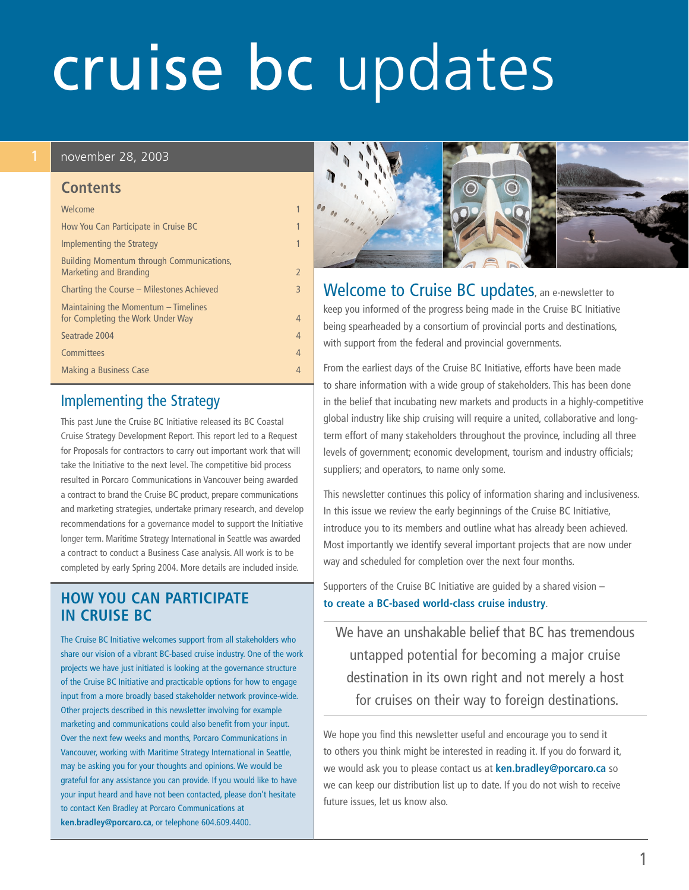# cruise bc updates

#### 1 november 28, 2003

#### **Contents**

| Welcome                                                                   | 1              |
|---------------------------------------------------------------------------|----------------|
| How You Can Participate in Cruise BC                                      | 1              |
| Implementing the Strategy                                                 | 1              |
| Building Momentum through Communications,<br>Marketing and Branding       | $\overline{2}$ |
| Charting the Course – Milestones Achieved                                 | 3              |
| Maintaining the Momentum - Timelines<br>for Completing the Work Under Way | $\overline{4}$ |
| Seatrade 2004                                                             | $\overline{4}$ |
| Committees                                                                | $\overline{4}$ |
| Making a Business Case                                                    | $\overline{4}$ |
|                                                                           |                |

### Implementing the Strategy

This past June the Cruise BC Initiative released its BC Coastal Cruise Strategy Development Report. This report led to a Request for Proposals for contractors to carry out important work that will take the Initiative to the next level. The competitive bid process resulted in Porcaro Communications in Vancouver being awarded a contract to brand the Cruise BC product, prepare communications and marketing strategies, undertake primary research, and develop recommendations for a governance model to support the Initiative longer term. Maritime Strategy International in Seattle was awarded a contract to conduct a Business Case analysis. All work is to be completed by early Spring 2004. More details are included inside.

### **HOW YOU CAN PARTICIPATE IN CRUISE BC**

The Cruise BC Initiative welcomes support from all stakeholders who share our vision of a vibrant BC-based cruise industry. One of the work projects we have just initiated is looking at the governance structure of the Cruise BC Initiative and practicable options for how to engage input from a more broadly based stakeholder network province-wide. Other projects described in this newsletter involving for example marketing and communications could also benefit from your input. Over the next few weeks and months, Porcaro Communications in Vancouver, working with Maritime Strategy International in Seattle, may be asking you for your thoughts and opinions. We would be grateful for any assistance you can provide. If you would like to have your input heard and have not been contacted, please don't hesitate to contact Ken Bradley at Porcaro Communications at **ken.bradley@porcaro.ca**, or telephone 604.609.4400.



Welcome to Cruise BC updates, an e-newsletter to keep you informed of the progress being made in the Cruise BC Initiative being spearheaded by a consortium of provincial ports and destinations, with support from the federal and provincial governments.

From the earliest days of the Cruise BC Initiative, efforts have been made to share information with a wide group of stakeholders. This has been done in the belief that incubating new markets and products in a highly-competitive global industry like ship cruising will require a united, collaborative and longterm effort of many stakeholders throughout the province, including all three levels of government; economic development, tourism and industry officials; suppliers; and operators, to name only some.

This newsletter continues this policy of information sharing and inclusiveness. In this issue we review the early beginnings of the Cruise BC Initiative, introduce you to its members and outline what has already been achieved. Most importantly we identify several important projects that are now under way and scheduled for completion over the next four months.

Supporters of the Cruise BC Initiative are guided by a shared vision – **to create a BC-based world-class cruise industry**.

We have an unshakable belief that BC has tremendous untapped potential for becoming a major cruise destination in its own right and not merely a host for cruises on their way to foreign destinations.

We hope you find this newsletter useful and encourage you to send it to others you think might be interested in reading it. If you do forward it, we would ask you to please contact us at **ken.bradley@porcaro.ca** so we can keep our distribution list up to date. If you do not wish to receive future issues, let us know also.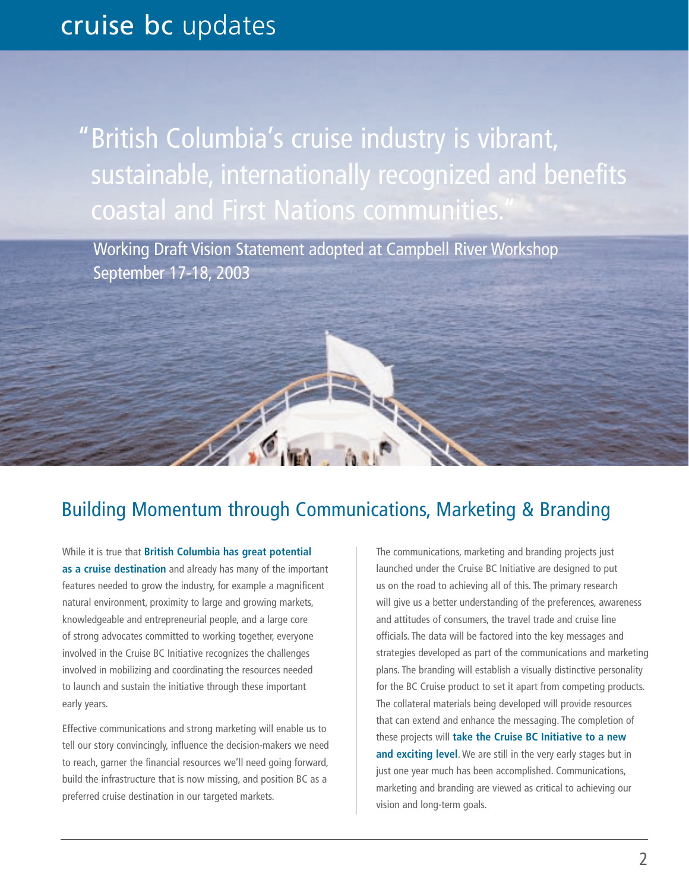<span id="page-1-0"></span>"British Columbia's cruise industry is vibrant, sustainable, internationally recognized and benefits coastal and First Nations communities.

Working Draft Vision Statement adopted at Campbell River Workshop September 17-18, 2003

## Building Momentum through Communications, Marketing & Branding

While it is true that **British Columbia has great potential as a cruise destination** and already has many of the important features needed to grow the industry, for example a magnificent natural environment, proximity to large and growing markets, knowledgeable and entrepreneurial people, and a large core of strong advocates committed to working together, everyone involved in the Cruise BC Initiative recognizes the challenges involved in mobilizing and coordinating the resources needed to launch and sustain the initiative through these important early years.

Art de la

Effective communications and strong marketing will enable us to tell our story convincingly, influence the decision-makers we need to reach, garner the financial resources we'll need going forward, build the infrastructure that is now missing, and position BC as a preferred cruise destination in our targeted markets.

The communications, marketing and branding projects just launched under the Cruise BC Initiative are designed to put us on the road to achieving all of this. The primary research will give us a better understanding of the preferences, awareness and attitudes of consumers, the travel trade and cruise line officials. The data will be factored into the key messages and strategies developed as part of the communications and marketing plans. The branding will establish a visually distinctive personality for the BC Cruise product to set it apart from competing products. The collateral materials being developed will provide resources that can extend and enhance the messaging. The completion of these projects will **take the Cruise BC Initiative to a new and exciting level**. We are still in the very early stages but in just one year much has been accomplished. Communications, marketing and branding are viewed as critical to achieving our vision and long-term goals.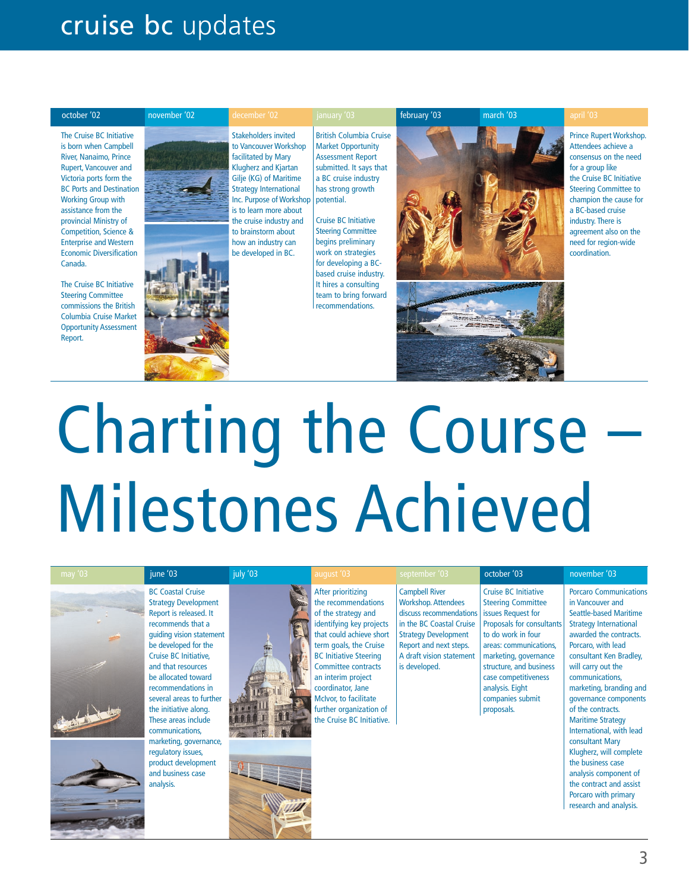# <span id="page-2-0"></span>cruise bc updates



The Cruise BC Initiative is born when Campbell River, Nanaimo, Prince Rupert, Vancouver and Victoria ports form the BC Ports and Destination Working Group with assistance from the provincial Ministry of Competition, Science & Enterprise and Western Economic Diversification Canada.

The Cruise BC Initiative Steering Committee commissions the British Columbia Cruise Market Opportunity Assessment Report.

Stakeholders invited to Vancouver Workshop facilitated by Mary Klugherz and Kjartan Gilje (KG) of Maritime Strategy International Inc. Purpose of Workshop | potential. is to learn more about the cruise industry and to brainstorm about how an industry can be developed in BC.

British Columbia Cruise Market Opportunity Assessment Report submitted. It says that a BC cruise industry has strong growth

Cruise BC Initiative Steering Committee begins preliminary work on strategies for developing a BCbased cruise industry. It hires a consulting team to bring forward recommendations.





Prince Rupert Workshop. Attendees achieve a consensus on the need for a group like the Cruise BC Initiative Steering Committee to champion the cause for a BC-based cruise industry. There is agreement also on the need for region-wide coordination.

# Charting the Course Milestones Achieved

| may $'03$ | june '03                                                                                                                                                                                                                                                                                                                                                                                                                                                       | july '03 | august '03                                                                                                                                                                                                                                                                                                                                    | september '03                                                                                                                                                                                                    | october '03                                                                                                                                                                                                                                                                                  | november '03                                                                                                                                                                                                                                                                                                                                                                                                                                                                                                                                      |
|-----------|----------------------------------------------------------------------------------------------------------------------------------------------------------------------------------------------------------------------------------------------------------------------------------------------------------------------------------------------------------------------------------------------------------------------------------------------------------------|----------|-----------------------------------------------------------------------------------------------------------------------------------------------------------------------------------------------------------------------------------------------------------------------------------------------------------------------------------------------|------------------------------------------------------------------------------------------------------------------------------------------------------------------------------------------------------------------|----------------------------------------------------------------------------------------------------------------------------------------------------------------------------------------------------------------------------------------------------------------------------------------------|---------------------------------------------------------------------------------------------------------------------------------------------------------------------------------------------------------------------------------------------------------------------------------------------------------------------------------------------------------------------------------------------------------------------------------------------------------------------------------------------------------------------------------------------------|
|           | <b>BC Coastal Cruise</b><br><b>Strategy Development</b><br>Report is released. It<br>recommends that a<br>quiding vision statement<br>be developed for the<br>Cruise BC Initiative,<br>and that resources<br>be allocated toward<br>recommendations in<br>several areas to further<br>the initiative along.<br>These areas include<br>communications,<br>marketing, governance,<br>regulatory issues,<br>product development<br>and business case<br>analysis. |          | After prioritizing<br>the recommendations<br>of the strategy and<br>identifying key projects<br>that could achieve short<br>term goals, the Cruise<br><b>BC Initiative Steering</b><br><b>Committee contracts</b><br>an interim project<br>coordinator, Jane<br>McIvor, to facilitate<br>further organization of<br>the Cruise BC Initiative. | <b>Campbell River</b><br><b>Workshop. Attendees</b><br>discuss recommendations<br>in the BC Coastal Cruise<br><b>Strategy Development</b><br>Report and next steps.<br>A draft vision statement<br>is developed. | <b>Cruise BC Initiative</b><br><b>Steering Committee</b><br>issues Request for<br>Proposals for consultants<br>to do work in four<br>areas: communications,<br>marketing, governance<br>structure, and business<br>case competitiveness<br>analysis. Eight<br>companies submit<br>proposals. | <b>Porcaro Communications</b><br>in Vancouver and<br><b>Seattle-based Maritime</b><br><b>Strategy International</b><br>awarded the contracts.<br>Porcaro, with lead<br>consultant Ken Bradley,<br>will carry out the<br>communications.<br>marketing, branding and<br>governance components<br>of the contracts.<br><b>Maritime Strategy</b><br>International, with lead<br>consultant Mary<br>Klugherz, will complete<br>the business case<br>analysis component of<br>the contract and assist<br>Porcaro with primary<br>research and analysis. |